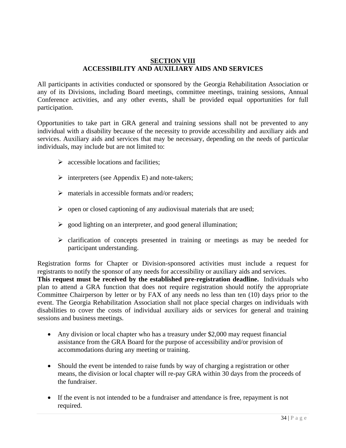## **SECTION VIII ACCESSIBILITY AND AUXILIARY AIDS AND SERVICES**

All participants in activities conducted or sponsored by the Georgia Rehabilitation Association or any of its Divisions, including Board meetings, committee meetings, training sessions, Annual Conference activities, and any other events, shall be provided equal opportunities for full participation.

Opportunities to take part in GRA general and training sessions shall not be prevented to any individual with a disability because of the necessity to provide accessibility and auxiliary aids and services. Auxiliary aids and services that may be necessary, depending on the needs of particular individuals, may include but are not limited to:

- $\triangleright$  accessible locations and facilities;
- $\triangleright$  interpreters (see Appendix E) and note-takers;
- $\triangleright$  materials in accessible formats and/or readers;
- $\triangleright$  open or closed captioning of any audiovisual materials that are used;
- $\geq$  good lighting on an interpreter, and good general illumination;
- $\triangleright$  clarification of concepts presented in training or meetings as may be needed for participant understanding.

Registration forms for Chapter or Division-sponsored activities must include a request for registrants to notify the sponsor of any needs for accessibility or auxiliary aids and services. **This request must be received by the established pre-registration deadline.** Individuals who plan to attend a GRA function that does not require registration should notify the appropriate Committee Chairperson by letter or by FAX of any needs no less than ten (10) days prior to the event. The Georgia Rehabilitation Association shall not place special charges on individuals with disabilities to cover the costs of individual auxiliary aids or services for general and training sessions and business meetings.

- Any division or local chapter who has a treasury under \$2,000 may request financial assistance from the GRA Board for the purpose of accessibility and/or provision of accommodations during any meeting or training.
- Should the event be intended to raise funds by way of charging a registration or other means, the division or local chapter will re-pay GRA within 30 days from the proceeds of the fundraiser.
- If the event is not intended to be a fundraiser and attendance is free, repayment is not required.